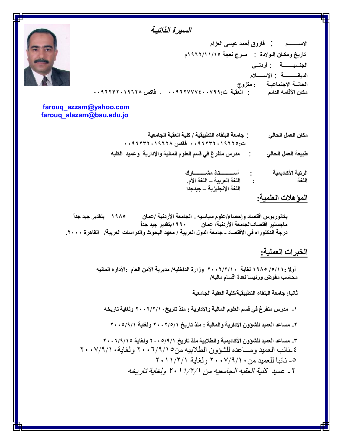# *السیرة الذاتیـة*

**الاســــــــم** : **فاروق أحمد عیسى العزام تاریخ ومكـان الـولادة** : **مــرج نعجة ١٩٦٢/١١/١٥م الجنسیــــــــة** : **أردنــي الدیانــــــــــة** : **الإســـــلام الحالــة الاجتماعیـة :متزوج مكان الأقامھ الدائم : العقبة ت٠٠٩٦٢٧٧٧٤٠٠٧٩٩: ، فاكس ٠٠٩٦٢٣٢٠١٩٦٢٨**

**farouq\_azzam@yahoo.com farouq\_alazam@bau.edu.jo**

> **مكان العمل الحالي** : **جامعة البلقاء التطبیقیة / كلیة العقبة الجامعیة ت٠٠٩٦٢٣٢٠١٩٦٢٥: فاكس ٠٠٩٦٢٣٢٠١٩٦٢٨ طبیعة العمل الحالي** : **مدرس متفرغ في قسم العلوم المالیة والإداریة وعمید الكلیھ**

> > **اللغة : اللغة العربیة – اللغة الأم. الرتبة الأكادیمیة : أســــــــــتاذ مشـــــــــارك اللغة الإنجلیزیة – جیدجدا**

# **المؤھلات العلمیة:**

**بكالوریوس اقتصاد وإحصاء/علوم سیاسیھ - الجامعة الأردنیة /عمان ١٩٨٥ بتقدیر جید جداً ماجستیر اقتصاد-الجامعة الأردنیة/ عمان ١٩٩٠بتقدیر جید جداً درجة الدكتوراه في الاقتصاد - جامعة الدول العربیة / معھد البحوث والدراسات العربیة/ القاھرة .٢٠٠٠**

## **الخبرات العملیة:**

**أولا /٥/١١: ١٩٨٥ لغایة ٢٠٠٢/٢/١٠ وزارة الداخلیھ/ مدیریة الأمن العام :الأداره المالیھ محاسب مفوض ورئیسا لعدة اقسام مالیھ/**

**ثانیا: جامعة البلقاء التطبیقیة/كلیة العقبة الجامعیة**

**-١ مدرس متفرغ في قسم العلوم المالیة والإداریة : منذ تاریخ٢٠٠٢/٢/١٠ ولغایة تاریخھ** 

**-٢ مساعد العمید للشؤون الإداریة والمالیة : منذ تاریخ ٢٠٠٢/٥/١ ولغایة ٢٠٠٥/٩/١**

**-٣ مساعد العمید للشؤون الأكادیمیة والطلابیة منذ تاریخ ٢٠٠٥/٩/١ ولغایة ٢٠٠٦/٩/١٥** ٤ -نائب العمید و مساعده للشؤون الطلابیه من ٢٠٠٦/٩/١٥ ٢٠٠ ولغایة ٢٠٠٧/٩/١ -٥ نائبا للعمید من٢٠٠٧/٩/١٠ ولغایة ٢٠١١/٢/١ *-٦ عمید كلیة العقبھ الجامعیھ من ٢٠١١/٢/١ ولغایة تاریخھ*

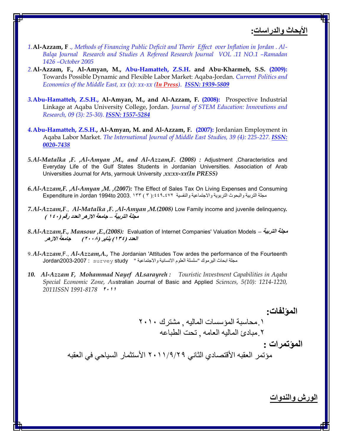**الأبحاث والدراسات:**

- *1.***Al-Azzam, F** *., Methods of Financing Public Deficit and Therir Effect over Inflation in Jordan . Al- Balqa Journal Research and Studies A Refereed Research Journal VOL .11 NO.1 –Ramadan 1426 –October 2005*
- *2.***Al-Azzam, F., Al-Amyan, M., Abu-Hamatteh, Z.S.H. and Abu-Kharmeh, S.S. (2009):** Towards Possible Dynamic and Flexible Labor Market: Aqaba-Jordan. *Current Politics and Economics of the Middle East, xx (x): xx-xx (In Press). ISSN: 1939-5809*
- *3.***Abu-Hamatteh, Z.S.H., Al-Amyan, M., and Al-Azzam, F. (2008):** Prospective Industrial Linkage at Aqaba University College, Jordan. *Journal of STEM Education: Innovations and Research, 09 (3): 25-30). ISSN: 1557-5284*
- *4.***Abu-Hamatteh, Z.S.H., Al-Amyan, M. and Al-Azzam, F. (2007):** Jordanian Employment in Aqaba Labor Market. *The International Journal of Middle East Studies, 39 (4): 225-227. ISSN: 0020-7438*
- *5.Al-Matalka ,F. ,Al-Amyan ,M., and Al-Azzam,F. (2008) :* Adjustment ,Characteristics and Everyday Life of the Gulf States Students in Jordanian Universities. Association of Arab Universities Journal for Arts, yarmouk University ,*xx:xx-xx(In PRESS)*
- *6.Al-Azzam,F. ,Al-Amyan ,M. ,(2007):* The Effect of Sales Tax On Living Expenses and Consuming مجلة التربية والبحوث التربوية والاجتماعية والنفسية :٤٤٩-٤٤٩): Expenditure in Jordan 1994to 2003. ١٣٣ (٣)
- *7.Al-Azzam,F*., *Al-Matalka ,F. ,Al-Amyan ,M.(2008)* Low Family income and juvenile delinquency*. مجلة التربیة – جامعة الازھر العدد رقم (١٤٠ )*
- *8.Al-Azzam,F., Mansour ,E.,(2008):* Evaluation of Internet Companies' Valuation Models  *التربیة مجلة العدد (١٣٤) ینایر (٢٠٠٨) جامعة الازھر*
- 9.*Al-Azzam*,F., *Al-Azzam,A.,* The Jordanian 'Attitudes Tow ardes the performance of the Fourteenth مجلة ابحاث اليرموك "سلسلة العلوم الانسانية والاجتماعية " survey study : survey survey لمجلة العلوم الانسانية والاجتماعية
- *10. Al-Azzam F, Mohammad Nayef ALsarayreh : Touristic Investment Capabilities in Aqaba Special Economic Zone, Au*stralian Journal of Basic and Applied *Sciences, 5(10): 1214-1220, 2011ISSN 1991-8178 <sup>٢٠١١</sup>*

**المؤلفات:** .١محاسبة المؤسسات المالیھ , مشترك ٢٠١٠ .٢مبادئ المالیھ العامھ , تحت الطباعھ **المؤتمرات :** مؤتمر العقبھ الأقتصادي الثاني ٢٠١١/٩/٢٩ الأستثمار السیاحي في العقبھ

**الورش والندوات**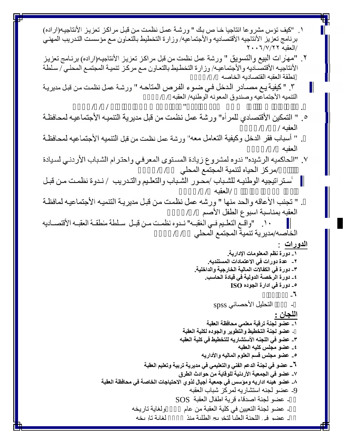| ١. "كيف تؤس مشروعا انتاجيا خـا ص بك " ورشـة عمل نظمت من قبل مراكز تعزيز الأنتاجيـه(اراده)                                                |
|------------------------------------------------------------------------------------------------------------------------------------------|
| برنامج تعزيز الأنتاجيه الأقتصاديه والأجتماعيه/ وزارة التخطيط بالتعاون مع مؤسست التدريب المهني                                            |
| /العقبه ٢٠٦/٧/٢٢                                                                                                                         |
| ٢ . "مهارات البيع والتسويق " ورشة عمل نظمت من قبل مراكز تعزيز الأنتاجيه(اراده) برنـامج تعزيز                                             |
| الأنتاجيه الأقتصـاديه والأجتماعيـه/ وزارة التخطـيط بالتعـاون مـع مركـز تنميـة المجتمـع المحلـي / سـلطة                                   |
| نطقة العقبه القتصاديه الخاصه ١/ /                                                                                                        |
| ٣. " كيفية يـع مصــادر  الـدخل فـي ضـو ء الفـرص المتاحـه " ورشـة عمـل نظمت مـن قبـل مديريـة<br>Ш                                         |
| التنميه الأجتماعيه وصندوق المعونه الوطنيه/ العقبه / /                                                                                    |
|                                                                                                                                          |
| ٥ . " التمكين الأقتصـادي للمر أه" ورشة عمل نظمت من قبل مديرية التنميـه الأجتمـاعيـه لمحـافظـة                                            |
|                                                                                                                                          |
| العفيه / / /                                                                                                                             |
| . " أسباب فقر الدخل وكيفية التعامل معه" ورشة عمل نظمت من قبل التنميه الأجتماعيه لمحافظة                                                  |
| العفيه / /                                                                                                                               |
| ٧. "الحاكميه الرشيده" ندوه لمشروع زيادة المستوى المعرفي واحترام الشباب الأردني لسيادة                                                    |
| /مركز الحياه لتنمية المجتمع المحلي ____/_ /                                                                                              |
| 'ستر اتيجيه الوطنيـه للشـباب /محـور  الشـباب والتعلـيم والتـدريب  / نـدوة نظمـت مـن قبـل                                                 |
| /العقبه / /                                                                                                                              |
| " تجنب الأعاقه والحد منها " ورشه عمل نظمت من قبل مديرية التنميه الأجتماعيه لمافظة                                                        |
|                                                                                                                                          |
| العقبه بمناسبة اسبوع الطفل الأصم ١ /                                                                                                     |
| ١٠. "واقـع التعلـيم فـي الغقبــه" نـدوه نظمـت مـن قبـل  سـلطة منطقـة العقبــه الأقتصــاديه                                               |
| الخاصــه/مديرية تنمية المجتمع المحلي ___/_ /                                                                                             |
| الدورات                                                                                                                                  |
| ١ ــ دورة نظم المعلومات الإدارية.                                                                                                        |
| ٢__ عدة دورات في الاعتمادات المستنديه.                                                                                                   |
| ٣_ دورة في الكفالات المالية الخارجية والداخلية.<br>٤_ دورة الرخصة الدولية في قيادة الحاسب.                                               |
| 0_ دورة في ادارة الجوده ISO                                                                                                              |
| -7                                                                                                                                       |
| التحليل الأحصائي spss                                                                                                                    |
| اللجان :                                                                                                                                 |
| ١_ عضو لجنة ترقية معلمى محافظة العقبة                                                                                                    |
| - عضو لجنة التخطيط والتطوير والجوده لكلية العقبة                                                                                         |
| ٣_ عضو في اللجنه الأستشاريه للتخطيط في كلية العقبه                                                                                       |
| ٤_ عضو مجلس كليه العقبه                                                                                                                  |
| ٥_ عضو مجلس قسم العلوم الماليه والأداريه                                                                                                 |
| √ _ عضو ف <i>ي</i> لجنـة الدعم الفن <i>ـى</i> والتعلي <i>مى</i> ف <i>ـى</i> مديريـة تربيـة وتعليم العقبـة                                |
| ٧_ عضو في الجمعية الأردنية للوقاية من حوادث الطرق<br>٨_ عضو  هيئـه اداريـه وموّسس في جمعية أجيال لذوى الاحتياجات الخاصة في محافظة العقبة |
| 9- عضو لجنه استشاريه لمركز شباب العقبه                                                                                                   |
| - عضو لجنة اصدقاء قرية اطفال العقبة  SOS                                                                                                 |
| - عضو لجنة التعيين في كلية العقبة من عام<br>و لغاية تار يخه                                                                              |
| ـ عضو في اللحنة العليا لتخريج الطلبة منذ<br>لغاية تار يخه                                                                                |
|                                                                                                                                          |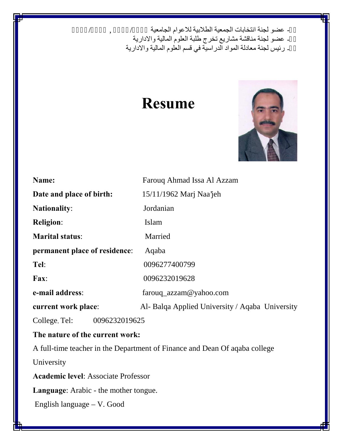- عضو لجنة انتخابات الجمعية الطلابية للاعوام الجامعية مستقرح بيست / مستقرح / 11/2

-١٤ عضو لجنة مناقشة مشاریع تخرج طلبة العلوم المالیة والاداریة

-١٥ رئیس لجنة معادلة المواد الدراسیة في قسم العلوم المالیة والاداریة

# **Resume**



| Name:                                                                      | Farouq Ahmad Issa Al Azzam                      |  |
|----------------------------------------------------------------------------|-------------------------------------------------|--|
| Date and place of birth:                                                   | 15/11/1962 Marj Naa'jeh                         |  |
| <b>Nationality:</b>                                                        | Jordanian                                       |  |
| <b>Religion:</b>                                                           | Islam                                           |  |
| <b>Marital status:</b>                                                     | Married                                         |  |
| permanent place of residence:<br>Aqaba                                     |                                                 |  |
| Tel:                                                                       | 0096277400799                                   |  |
| Fax:                                                                       | 0096232019628                                   |  |
| e-mail address:                                                            | farouq_azzam@yahoo.com                          |  |
| current work place:                                                        | Al- Balqa Applied University / Aqaba University |  |
| College, Tel:<br>0096232019625                                             |                                                 |  |
| The nature of the current work:                                            |                                                 |  |
| A full-time teacher in the Department of Finance and Dean Of aqaba college |                                                 |  |
| University                                                                 |                                                 |  |
| <b>Academic level: Associate Professor</b>                                 |                                                 |  |
| <b>Language:</b> Arabic - the mother tongue.                               |                                                 |  |
| English language – V. Good                                                 |                                                 |  |
|                                                                            |                                                 |  |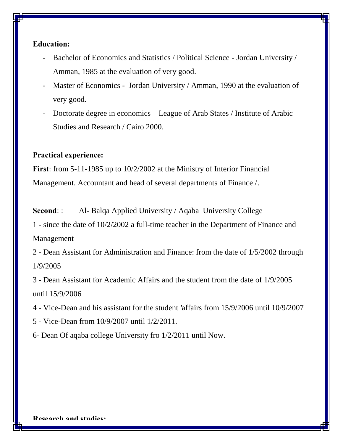### **Education:**

- Bachelor of Economics and Statistics / Political Science Jordan University / Amman, 1985 at the evaluation of very good.
- Master of Economics Jordan University / Amman, 1990 at the evaluation of very good.
- Doctorate degree in economics League of Arab States / Institute of Arabic Studies and Research / Cairo 2000.

## **Practical experience:**

**First**: from 5-11-1985 up to 10/2/2002 at the Ministry of Interior Financial Management. Accountant and head of several departments of Finance /.

**Second:** : Al- Balqa Applied University / Aqaba University College

1 - since the date of 10/2/2002 a full-time teacher in the Department of Finance and Management

2 - Dean Assistant for Administration and Finance: from the date of 1/5/2002 through 1/9/2005

3 - Dean Assistant for Academic Affairs and the student from the date of 1/9/2005 until 15/9/2006

4 - Vice-Dean and his assistant for the student 'affairs from 15/9/2006 until 10/9/2007

5 - Vice-Dean from 10/9/2007 until 1/2/2011.

6- Dean Of aqaba college University fro 1/2/2011 until Now.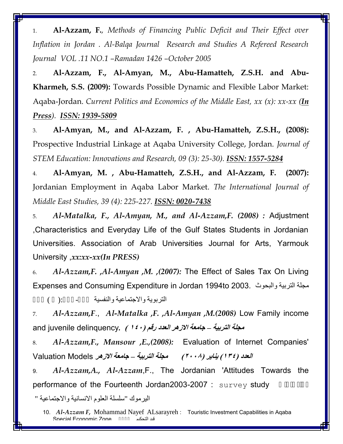1. **Al-Azzam, F.***, Methods of Financing Public Deficit and Their Effect over Inflation in Jordan . Al-Balqa Journal Research and Studies A Refereed Research Journal VOL .11 NO.1 –Ramadan 1426 –October 2005*

2. **Al-Azzam, F., Al-Amyan, M., Abu-Hamatteh, Z.S.H. and Abu- Kharmeh, S.S. (2009):** Towards Possible Dynamic and Flexible Labor Market: Aqaba-Jordan. *Current Politics and Economics of the Middle East, xx (x): xx-xx (In Press). ISSN: 1939-5809*

3. **Al-Amyan, M., and Al-Azzam, F. , Abu-Hamatteh, Z.S.H., (2008):** Prospective Industrial Linkage at Aqaba University College, Jordan. *Journal of STEM Education: Innovations and Research, 09 (3): 25-30). ISSN: 1557-5284*

4. **Al-Amyan, M. , Abu-Hamatteh, Z.S.H., and Al-Azzam, F. (2007):** Jordanian Employment in Aqaba Labor Market. *The International Journal of Middle East Studies, 39 (4): 225-227. ISSN: 0020-7438*

5. *Al-Matalka, F., Al-Amyan, M., and Al-Azzam,F. (2008) :* Adjustment ,Characteristics and Everyday Life of the Gulf States Students in Jordanian Universities. Association of Arab Universities Journal for Arts, Yarmouk University ,*xx:xx-xx(In PRESS)*

6. *Al-Azzam,F. ,Al-Amyan ,M. ,(2007):* The Effect of Sales Tax On Living Expenses and Consuming Expenditure in Jordan 1994to 2003. والبحوث التربیة مجلة

التربوية والاجتماعية والنفسية والسناسية ():

7. *Al-Azzam,F*., *Al-Matalka ,F. ,Al-Amyan ,M.(2008)* Low Family income *مجلة التربیة – جامعة الازھر العدد رقم (١٤٠ ) .*delinquency juvenile and

8. *Al-Azzam,F., Mansour ,E.,(2008):* Evaluation of Internet Companies' *العدد (١٣٤) ینایر (٢٠٠٨) مجلة التربیة – جامعة الازھر* Models Valuation

9. *Al-Azzam,A., Al-Azzam*,F., The Jordanian 'Attitudes Towards the performance of the Fourteenth Jordan2003-2007 :  $survey$  study

الیرموك "سلسلة العلوم الانسانیة والاجتماعیة "

<sup>10.</sup> *Al-Azzam F,* Mohammad Nayef ALsarayreh : Touristic Investment Capabilities in Aqaba قند التحکیم Snecial Fconomic Zone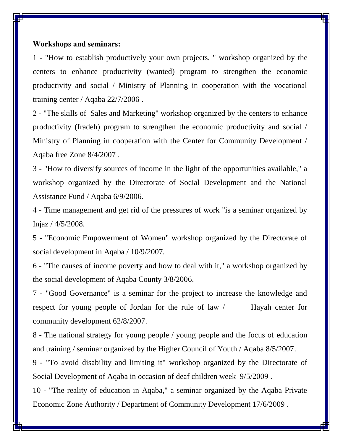#### **Workshops and seminars:**

1 - "How to establish productively your own projects, " workshop organized by the centers to enhance productivity (wanted) program to strengthen the economic productivity and social / Ministry of Planning in cooperation with the vocational training center / Aqaba 22/7/2006 .

2 - "The skills of Sales and Marketing" workshop organized by the centers to enhance productivity (Iradeh) program to strengthen the economic productivity and social / Ministry of Planning in cooperation with the Center for Community Development / Aqaba free Zone 8/4/2007 .

3 - "How to diversify sources of income in the light of the opportunities available," a workshop organized by the Directorate of Social Development and the National Assistance Fund / Aqaba 6/9/2006.

4 - Time management and get rid of the pressures of work "is a seminar organized by Injaz / 4/5/2008.

5 - "Economic Empowerment of Women" workshop organized by the Directorate of social development in Aqaba / 10/9/2007.

6 - "The causes of income poverty and how to deal with it," a workshop organized by the social development of Aqaba County 3/8/2006.

7 - "Good Governance" is a seminar for the project to increase the knowledge and respect for young people of Jordan for the rule of law / Hayah center for community development 62/8/2007.

8 - The national strategy for young people / young people and the focus of education and training / seminar organized by the Higher Council of Youth / Aqaba 8/5/2007.

9 - "To avoid disability and limiting it" workshop organized by the Directorate of Social Development of Aqaba in occasion of deaf children week 9/5/2009 .

10 - "The reality of education in Aqaba," a seminar organized by the Aqaba Private Economic Zone Authority / Department of Community Development 17/6/2009 .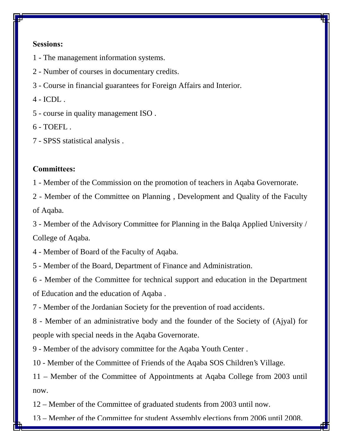#### **Sessions:**

- The management information systems.
- Number of courses in documentary credits.
- Course in financial guarantees for Foreign Affairs and Interior.
- $4 ICDL$ .
- course in quality management ISO .
- $6 TOEFI$ .
- SPSS statistical analysis .

#### **Committees:**

- Member of the Commission on the promotion of teachers in Aqaba Governorate.

 - Member of the Committee on Planning , Development and Quality of the Faculty of Aqaba.

 - Member of the Advisory Committee for Planning in the Balqa Applied University / College of Aqaba.

- Member of Board of the Faculty of Aqaba.
- Member of the Board, Department of Finance and Administration.

 - Member of the Committee for technical support and education in the Department of Education and the education of Aqaba .

- Member of the Jordanian Society for the prevention of road accidents.

 - Member of an administrative body and the founder of the Society of (Ajyal) for people with special needs in the Aqaba Governorate.

- Member of the advisory committee for the Aqaba Youth Center .

- Member of the Committee of Friends of the Aqaba SOS Children's Village.

 – Member of the Committee of Appointments at Aqaba College from 2003 until now.

– Member of the Committee of graduated students from 2003 until now.

– Member of the Committee for student Assembly elections from 2006 until 2008.